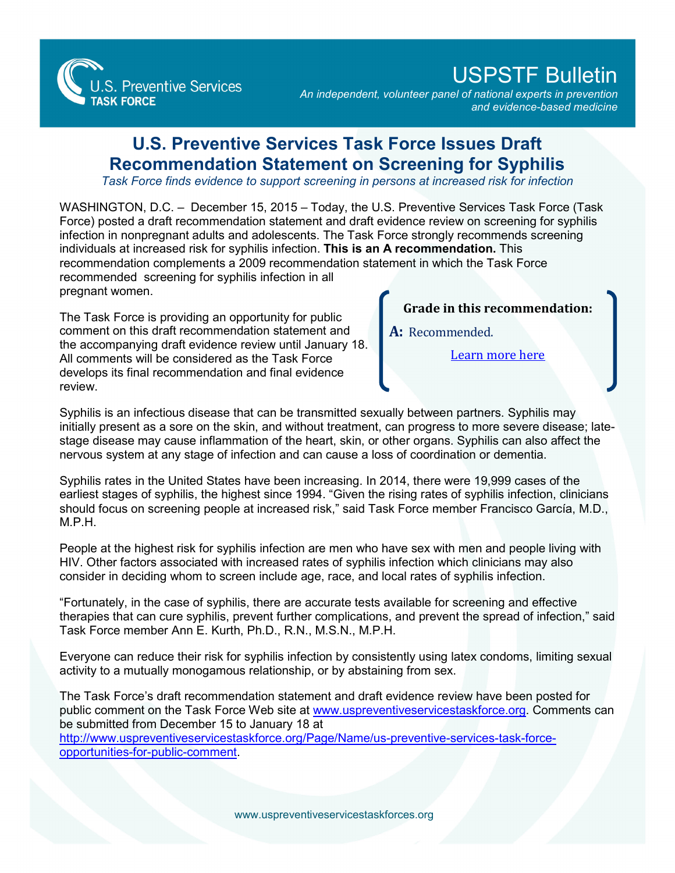

## USPSTF Bulletin

*An independent, volunteer panel of national experts in prevention and evidence-based medicine*

## **U.S. Preventive Services Task Force Issues Draft Recommendation Statement on Screening for Syphilis**

*Task Force finds evidence to support screening in persons at increased risk for infection*

WASHINGTON, D.C. – December 15, 2015 – Today, the U.S. Preventive Services Task Force (Task Force) posted a draft recommendation statement and draft evidence review on screening for syphilis infection in nonpregnant adults and adolescents. The Task Force strongly recommends screening individuals at increased risk for syphilis infection. **This is an A recommendation.** This recommendation complements a 2009 recommendation statement in which the Task Force recommended screening for syphilis infection in all pregnant women.

The Task Force is providing an opportunity for public comment on this draft recommendation statement and the accompanying draft evidence review until January 18. All comments will be considered as the Task Force develops its final recommendation and final evidence review.

**Grade in this recommendation:**

**A:** Recommended.

[Learn more here](http://www.uspreventiveservicestaskforce.org/Page/Name/grade-definitions)

Syphilis is an infectious disease that can be transmitted sexually between partners. Syphilis may initially present as a sore on the skin, and without treatment, can progress to more severe disease; latestage disease may cause inflammation of the heart, skin, or other organs. Syphilis can also affect the nervous system at any stage of infection and can cause a loss of coordination or dementia.

Syphilis rates in the United States have been increasing. In 2014, there were 19,999 cases of the earliest stages of syphilis, the highest since 1994. "Given the rising rates of syphilis infection, clinicians should focus on screening people at increased risk," said Task Force member Francisco García, M.D., M.P.H.

People at the highest risk for syphilis infection are men who have sex with men and people living with HIV. Other factors associated with increased rates of syphilis infection which clinicians may also consider in deciding whom to screen include age, race, and local rates of syphilis infection.

"Fortunately, in the case of syphilis, there are accurate tests available for screening and effective therapies that can cure syphilis, prevent further complications, and prevent the spread of infection," said Task Force member Ann E. Kurth, Ph.D., R.N., M.S.N., M.P.H.

Everyone can reduce their risk for syphilis infection by consistently using latex condoms, limiting sexual activity to a mutually monogamous relationship, or by abstaining from sex.

The Task Force's draft recommendation statement and draft evidence review have been posted for public comment on the Task Force Web site at [www.uspreventiveservicestaskforce.org.](http://www.uspreventiveservicestaskforce.org/) Comments can be submitted from December 15 to January 18 at

[http://www.uspreventiveservicestaskforce.org/Page/Name/us-preventive-services-task-force](http://www.uspreventiveservicestaskforce.org/Page/Name/us-preventive-services-task-force-opportunities-for-public-comment)[opportunities-for-public-comment.](http://www.uspreventiveservicestaskforce.org/Page/Name/us-preventive-services-task-force-opportunities-for-public-comment)